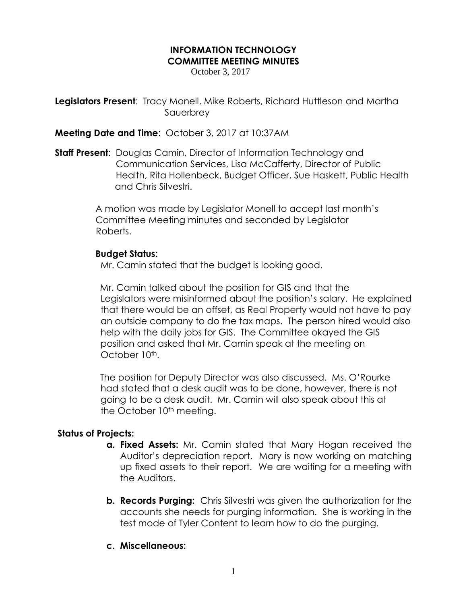## **INFORMATION TECHNOLOGY COMMITTEE MEETING MINUTES**

October 3, 2017

**Legislators Present:** Tracy Monell, Mike Roberts, Richard Huttleson and Martha Sauerbrey

**Meeting Date and Time**: October 3, 2017 at 10:37AM

**Staff Present**: Douglas Camin, Director of Information Technology and Communication Services, Lisa McCafferty, Director of Public Health, Rita Hollenbeck, Budget Officer, Sue Haskett, Public Health and Chris Silvestri.

> A motion was made by Legislator Monell to accept last month's Committee Meeting minutes and seconded by Legislator Roberts.

## **Budget Status:**

Mr. Camin stated that the budget is looking good.

 Mr. Camin talked about the position for GIS and that the Legislators were misinformed about the position's salary. He explained that there would be an offset, as Real Property would not have to pay an outside company to do the tax maps. The person hired would also help with the daily jobs for GIS. The Committee okayed the GIS position and asked that Mr. Camin speak at the meeting on October 10<sup>th</sup>.

 The position for Deputy Director was also discussed. Ms. O'Rourke had stated that a desk audit was to be done, however, there is not going to be a desk audit. Mr. Camin will also speak about this at the October 10<sup>th</sup> meeting.

## **Status of Projects:**

- **a. Fixed Assets:** Mr. Camin stated that Mary Hogan received the Auditor's depreciation report. Mary is now working on matching up fixed assets to their report. We are waiting for a meeting with the Auditors.
- **b. Records Purging:** Chris Silvestri was given the authorization for the accounts she needs for purging information. She is working in the test mode of Tyler Content to learn how to do the purging.

## **c. Miscellaneous:**